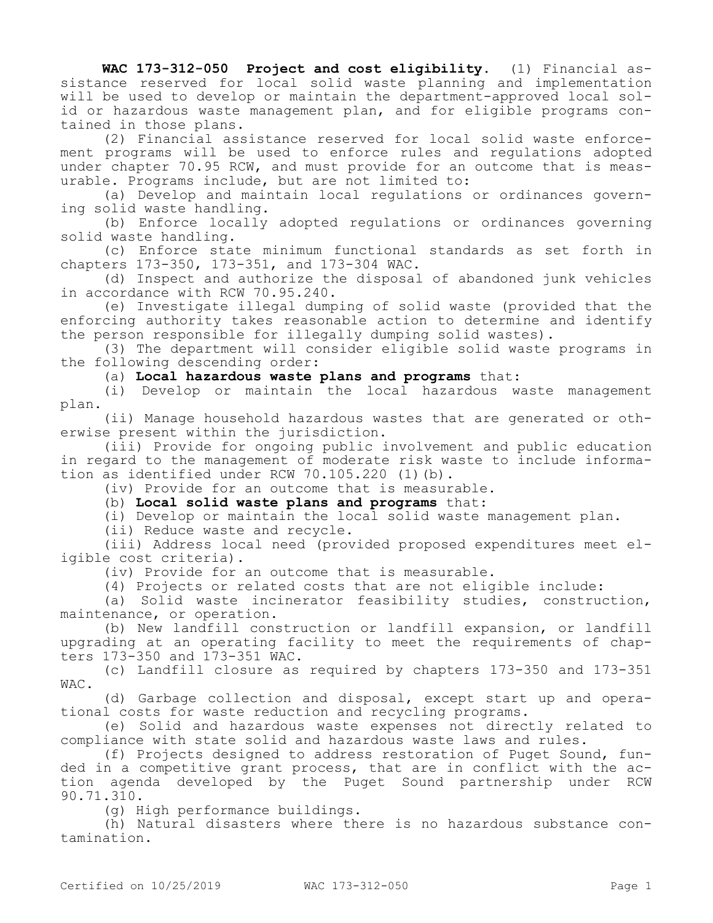**WAC 173-312-050 Project and cost eligibility.** (1) Financial assistance reserved for local solid waste planning and implementation will be used to develop or maintain the department-approved local solid or hazardous waste management plan, and for eligible programs contained in those plans.

(2) Financial assistance reserved for local solid waste enforcement programs will be used to enforce rules and regulations adopted under chapter 70.95 RCW, and must provide for an outcome that is measurable. Programs include, but are not limited to:

(a) Develop and maintain local regulations or ordinances governing solid waste handling.

(b) Enforce locally adopted regulations or ordinances governing solid waste handling.

(c) Enforce state minimum functional standards as set forth in chapters 173-350, 173-351, and 173-304 WAC.

(d) Inspect and authorize the disposal of abandoned junk vehicles in accordance with RCW 70.95.240.

(e) Investigate illegal dumping of solid waste (provided that the enforcing authority takes reasonable action to determine and identify the person responsible for illegally dumping solid wastes).

(3) The department will consider eligible solid waste programs in the following descending order:

(a) **Local hazardous waste plans and programs** that:

(i) Develop or maintain the local hazardous waste management plan.

(ii) Manage household hazardous wastes that are generated or otherwise present within the jurisdiction.

(iii) Provide for ongoing public involvement and public education in regard to the management of moderate risk waste to include information as identified under RCW 70.105.220 (1)(b).

(iv) Provide for an outcome that is measurable.

(b) **Local solid waste plans and programs** that:

(i) Develop or maintain the local solid waste management plan.

(ii) Reduce waste and recycle.

(iii) Address local need (provided proposed expenditures meet eligible cost criteria).

(iv) Provide for an outcome that is measurable.

(4) Projects or related costs that are not eligible include:

(a) Solid waste incinerator feasibility studies, construction, maintenance, or operation.

(b) New landfill construction or landfill expansion, or landfill upgrading at an operating facility to meet the requirements of chapters 173-350 and 173-351 WAC.

(c) Landfill closure as required by chapters 173-350 and 173-351 WAC.

(d) Garbage collection and disposal, except start up and operational costs for waste reduction and recycling programs.

(e) Solid and hazardous waste expenses not directly related to compliance with state solid and hazardous waste laws and rules.

(f) Projects designed to address restoration of Puget Sound, funded in a competitive grant process, that are in conflict with the action agenda developed by the Puget Sound partnership under RCW 90.71.310.

(g) High performance buildings.

(h) Natural disasters where there is no hazardous substance contamination.